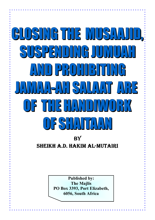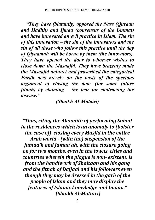*"They have (blatantly) opposed the Nass (Quraan and Hadith) and Ijmaa (consensus of the Ummat) and have innovated an evil practice in Islam. The sin of this innovation – the sin of the innovators and the sin of all those who follow this practice until the day of Qiyaamah will be borne by them (the innovators). They have opened the door to whoever wishes to close down the Masaajid. They have brazenly made the Masaajid defunct and proscribed the categorical Fardh acts merely on the basis of the specious argument of closing the door (for some future fitnah) by claiming the fear for contracting the disease."* 

## *(Shaikh Al-Mutairi)*

*"Thus, citing the Ahaadith of performing Salaat in the residences which is an anomaly to (bolster the case of) closing every Musjid in the entire Arab world - (with the) suspension of the Jumua'h and Jamaa'ah, with the closure going on for two months, even in the towns, cities and countries wherein the plague is non- existent, is from the handiwork of Shaitaan and his gang and the fitnah of Dajjaal and his followers even though they may be dressed in the garb of the people of Islam and they may display the features of Islamic knowledge and Imaan." (Shaikh Al-Mutairi)*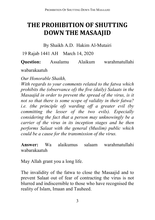## **THE PROHIBITION OF SHUTTING DOWN THE MASAAJID**

By Shaikh A.D. Hakim Al-Mutairi

19 Rajab 1441 AH March 14, 2020

**Question:** Assalamu Alaikum warahmatullahi

wabarakaatuh

*Our Honorable Shaikh,* 

*With regards to your comments related to the fatwa which prohibits the (observance of) the five (daily) Salaats in the Masaajid in order to prevent the spread of the virus, is it not so that there is some scope of validity in their fatwa? i.e. (the principle of) warding off a greater evil (by committing the lesser of the two evils). Especially considering the fact that a person may unknowingly be a carrier of the virus in its inception stages and he then performs Salaat with the general (Muslim) public which could be a cause for the transmission of the virus.* 

**Answer:** Wa alaikumus salaam warahmatullahi wabarakaatuh

May Allah grant you a long life.

The invalidity of the fatwa to close the Masaajid and to prevent Salaat out of fear of contracting the virus is not blurred and indiscernible to those who have recognised the reality of Islam, Imaan and Tauheed.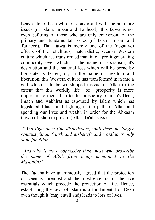Leave alone those who are conversant with the auxiliary issues (of Islam, Imaan and Tauheed), this fatwa is not even befitting of those who are only conversant of the primary and fundamental issues (of Islam, Imaan and Tauheed). That fatwa is merely one of the (negative) effects of the rebellious, materialistic, secular Western culture which has transformed man into a profit generating commodity over which, in the name of socialism, it's destruction and the material loss which will be borne by the state is feared; or, in the name of freedom and liberation, this Western culture has transformed man into a god which is to be worshipped instead of Allah to the extent that this worldly life of prosperity is more important to them than to the prosperity of man's Deen, Imaan and Aakhirat as espoused by Islam which has legislated Jihaad and fighting in the path of Allah and spending our lives and wealth in order for the Ahkaam (laws) of Islam to prevail.(Allah Ta'ala says):

 "*And fight them (the disbelievers) until there no longer remains fitnah (shirk and disbelief) and worship is only done for Allah."*

*"And who is more oppressive than those who proscribe the name of Allah from being mentioned in the Masaajid?"* 

The Fuqaha have unanimously agreed that the protection of Deen is foremost and the most essential of the five essentials which precede the protection of life. Hence, establishing the laws of Islam is a fundamental of Deen even though it (may entail and) leads to loss of lives.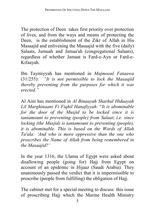The protection of Deen takes first priority over protection of lives, and from the ways and means of protecting the Deen, is the establishment of the Zikr of Allah in His Masaajid and enlivening the Masaajid with the five (daily) Salaats, Jumuah and Jamaa'ah (congregational Salaats), regardless of whether Jamaat is Fard-e-Ayn or Fard-e-Kifaayah.

Ibn Taymiyyah has mentioned in *Majmooul Fataawa*  (31/255): *"It is not permissible to lock the Masaajid thereby preventing from the purposes for which it was erected."*

Al Aini has mentioned in *Al Binaayah Sharhul Hidaayah Lil Marghinaani Fi Fiqhil Hanafiyyah:* "*It is abominable for the door of the Musjid to be locked since it is tantamount to preventing (people) from Salaat, i.e. since locking (the Musiid) is tantamount to preventing (people). it is abominable. This is based on the Words of Allah Ta'ala: 'And who is more oppressive than the one who proscribes the Name of Allah from being remembered in the Masaajid?'* 

In the year 1316, the Ulama of Egypt were asked about disallowing people (going for) Hajj from Egypt on account of an epidemic in Hijaaz (Saudi Arabia). They unanimously passed the verdict that it is impermissible to proscribe (people from fulfilling) the obligation of Hajj.

The cabinet met for a special meeting to discuss this issue of proscribing Hajj which the Marine Health Ministry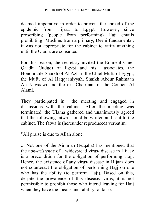deemed imperative in order to prevent the spread of the epidemic from Hijaaz to Egypt. However, since proscribing (people from performing) Hajj entails prohibiting Muslims from a primary, Deeni fundamental, it was not appropriate for the cabinet to ratify anything until the Ulama are consulted.

For this reason, the secretary invited the Eminent Chief Qaadhi (Judge) of Egypt and his associates, the Honourable Shaikh of Al Azhar, the Chief Mufti of Egypt, the Mufti of Al Haqqaaniyyah, Shaikh Abdur Rahmaan An Nawaawi and the ex- Chairman of the Council Al Alami.

They participated in the meeting and engaged in discussions with the cabinet. After the meeting was terminated, the Ulama gathered and unanimously agreed that the following fatwa should be written and sent to the cabinet. The fatwa is (hereunder reproduced) verbatim:

"All praise is due to Allah alone.

... Not one of the Aimmah (Fuqaha) has mentioned that the *non-existence* of a widespread virus/ disease in Hijaaz is a precondition for the obligation of performing Hajj. Hence, the existence of any virus/ disease in Hijaaz does not counteract the obligation of performing Hajj on one who has the ability (to perform Hajj). Based on this, despite the prevalence of this disease/ virus, it is not permissible to prohibit those who intend leaving for Hajj when they have the means and ability to do so.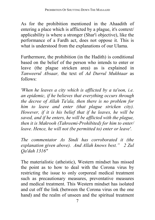As for the prohibition mentioned in the Ahaadith of entering a place which is afflicted by a plague, it's context/ applicability is where a stronger (Shar'i objective), like the performance of a Fardh act, does not oppose it. This is what is understood from the explanations of our Ulama.

Furthermore, the prohibition (in the Hadith) is conditional based on the belief of the person who intends to enter or leave (the plague stricken area) as is explained in *Tanweerul Absaar,* the text of *Ad Durrul Mukhtaar* as follows:

*'When he leaves a city which is afflicted by a ta'oon, i.e. an epidemic, if he believes that everything occurs through the decree of Allah Ta'ala, then there is no problem for him to leave and enter (that plague stricken city). However, if it is his belief that if he leaves, he will be saved, and if he enters, he will be afflicted with the plague, then it is Makrooh (Tahreemi-Prohibited) for him to enter/ leave. Hence, he will not (be permitted to) enter or leave'.* 

*The commentator As Sindi has corroborated it (the explanation given above). And Allah knows best." 2 Zul Qa'dah 1316"* 

The materialistic (atheistic), Western mindset has missed the point as to how to deal with the Corona virus by restricting the issue to only corporeal medical treatment such as precautionary measures, preventative measures and medical treatment. This Western mindset has isolated and cut off the link (between the Corona virus on the one hand) and the realm of unseen and the spiritual treatment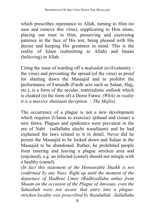which prescribes repentance to Allah, turning to Him (to ease and remove this virus), supplicating to Him alone, placing our trust in Him, preserving and exercising patience in the face of His test, being pleased with His decree and keeping His greatness in mind. This is the reality of Islam (submitting to Allah) and Imaan (believing) in Allah.

Citing the issue of warding off a *mafsadah* (evil/calamity the virus) and preventing the spread (of the virus) as proof for shutting down the Masaajid and to prohibit the performance of Faraaidh (Fardh acts such as Salaat, Hajj, etc.), is a form of the secular, materialistic outlook which is cloaked (in the form of) a Deeni Fatwa. *(While in reality it is a massive shaitaani deception. – The Majlis)*

The occurrence of a plague is not a new development which requires (Ulama to exercise) ijtihaad and (issue) a new fatwa. Plagues and epidemics were prevalent in the era of Nabi (sallallahu alayhi wasallaam) and he had explained the laws related to it in detail. Never did he permit the Masaajid to be locked down and Salaat in the Masaajid to be abandoned. Rather, he prohibited people from entering and leaving a plague stricken area and (enjoined), e.g. an infected (camel) should not mingle with a healthy (camel).

*(In fact this statement of the Honourable Shaikh is not confirmed by any Nass. Right up until the moment of the departure of Hadhrat Umar (Radhiyallahu anhu) from Shaam on the occasion of the Plague of Amwaas, even the Sahaabah were not aware that entry into a plaguestricken locality was proscribed by Rasulullah –Sallallahu*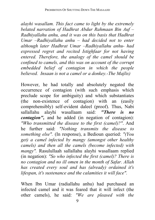*alayhi wasallam. This fact came to light by the extremely belated narration of Hadhrat Abdur Rahmaan Bin Auf – Radhiyallahu anhu, and it was on this basis that Hadhrat Umar –Radhiyallahu anhu – had decided not to enter although later Hadhrat Umar –Radhiyallahu anhu- had expressed regret and recited Istighfaar for not having entered. Therefore, the analogy of the camel should be confined to camels, and this was on account of the corrupt embedded belief of contagion in which the people believed. Insaan is not a camel or a donkey.-The Majlis)* 

However, he had totally and absolutely negated the occurrence of contagion (with such emphasis which preclude scope for ambiguity) and which substantiates (the non-existence of contagion) with an (easily comprehensibly) self-evident daleel (proof). Thus, Nabi sallallahu alayhi wasallaam said: *"There is no contagion"*, and he added (in negation of contagion): *"Who transmitted the disease to the first (camel)?"*. And he further said: *"Nothing transmits the disease to something else".* (In response), a Bedioun queried: *"(You get) a camel infected by mangy (amongst other healthy camels) and then all the camels (become infected) with mangy".* Rasulullaah sallallahu alayhi wasallaam replied (in negation): *"So who infected the first (camel)? There is no contagion and no ill omen in the month of Safar. Allah has created every soul and has (already) ordained it's lifespan, it's sustenance and the calamities it will face".* 

When Ibn Umar (radiallahu anhu) had purchased an infected camel and it was feared that it will infect (the other camels), he said: *"We are pleased with the*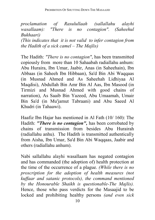*proclamation of Rasulullaah (sallallahu alayhi wasallaam): "There is no contagion". (Saheehul Bukhaari)* 

*(This indicates that it is not valid to infer contagion from the Hadith of a sick camel – The Majlis)* 

The Hadith: *"There is no contagion"*, has been transmitted copiously from more than 10 Sahaabah radiallahu anhum: Abu Huraira, Ibn Umar, Jaabir, Anas (in Saheehain), Ibn Abbaas (in Saheeh Ibn Hibbaan), Sa'd Bin Abi Waqqaas (in Musnad Ahmed and As Saheehah Lidhiyaa Al Maqdisi), Abdullah Bin Amr Bin Al Aas, Ibn Masood (in Tirmizi and Musnad Ahmed with good chains of narration), As Saaib Bin Yazeed, Abu Umaamah, Umair Bin Sa'd (in Mu'jamut Tabraani) and Abu Saeed Al Khudri (in Tahaawi).

Haafiz Ibn Hajar has mentioned in Al Fath (10/ 160): The Hadith: *"There is no contagion",* has been corrobated by chains of transmission from besides Abu Hurairah (radiallahu anhu). The Hadith is transmitted authentically from Aisha, Ibn Umar, Sa'd Bin Abi Waqqaas, Jaabir and others (radiallahu anhum).

Nabi sallallahu alayhi wasallaam has negated contagion and has commanded (the adoption of) health protection at the time of the occurrence of a plague. *(While there is no proscription for the adoption of health measures (not kuffaar and satanic protocols), the command mentioned by the Honourable Shaikh is questionable-The Majlis).* Hence, those who pass verdicts for the Masaajid to be locked and prohibiting healthy persons *(and even sick*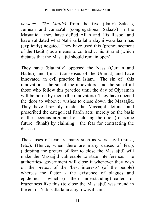*persons –The Majlis)* from the five (daily) Salaats, Jumuah and Jamaa'ah (congregational Salaats) in the Masaajid, they have defied Allah and His Rasool and have validated what Nabi sallallahu alayhi wasallaam has (explicitly) negated. They have used this (pronouncement of the Hadith) as a means to contradict his Shariat (which dictates that the Masaajid should remain open).

They have (blatantly) opposed the Nass (Quraan and Hadith) and Ijmaa (consensus of the Ummat) and have innovated an evil practice in Islam. The sin of this innovation – the sin of the innovators and the sin of all those who follow this practice until the day of Qiyaamah will be borne by them (the innovators). They have opened the door to whoever wishes to close down the Masaajid. They have brazenly made the Masaajid defunct and proscribed the categorical Fardh acts merely on the basis of the specious argument of closing the door (for some future fitnah) by claiming the fear for contracting the disease.

The causes of fear are many such as wars, civil unrest, (etc.). (Hence, when there are many causes of fear), (adopting the pretext of fear to close the Masaajid) will make the Masaajid vulnerable to state interference. The authorities/ government will close it whenever they wish on the pretext of the 'best interests' (of the people) whereas the factor - the existence of plagues and epidemics - which (in their understanding) called for brazenness like this (to close the Masaajid) was found in the era of Nabi sallallahu alayhi wasallaam.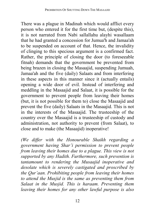There was a plague in Madinah which would afflict every person who entered it for the first time but, (despite this), it is not narrated from Nabi sallallahu alayhi wasallaam that he had granted a concession for Jumua'h and Jamaa'ah to be suspended on account of that. Hence, the invalidity of clinging to this specious argument is a confirmed fact. Rather, the principle of closing the door (to foreseeable fitnah) demands that the government be prevented from being brazen in closing the Masaajid, suspending Jumuah, Jamaa'ah and the five (daily) Salaats and from interfering in these aspects in this manner since it (actually entails) opening a wide door of evil. Instead of interfering and meddling in the Masaajid and Salaat, it is possible for the government to prevent people from leaving their homes (but, it is not possible for them to) close the Masaajid and prevent the five (daily) Salaats in the Masaajid. This is not in the interests of the Masaajid. The trusteeship of the country over the Masaajid is a trusteeship of custody and administration, not authority to prevent (from Salaat), to close and to make (the Masaajid) inoperative!

*(We differ with the Honourable Shaikh regarding a government having Shar'i permission to prevent people from leaving their homes due to a plague. This view is not supported by any Hadith. Furthermore, such prevention is tantamount to rendering the Musaajid inoperative and desolate which is severely castigated and proscribed by the Qur'aan. Prohibiting people from leaving their homes to attend the Musjid is the same as preventing them from Salaat in the Musjid. This is haraam. Preventing them leaving their homes for any other lawful purpose is also*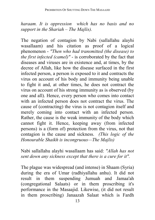*haraam. It is oppression which has no basis and no support in the Shariah – The Majlis).* 

The negation of contagion by Nabi (sallallahu alayhi wasallaam) and his citation as proof of a logical phenomenon - *"Then who had transmitted (the disease) to the first infected (camel)"* - is corroborated by the fact that diseases and viruses are in existence and, at times, by the decree of Allah, like how the disease surfaced in the first infected person, a person is exposed to it and contracts the virus on account of his body and immunity being unable to fight it and, at other times, he does not contract the virus on account of his strong immunity as is observed (by one and all). Hence, every person who comes into contact with an infected person does not contract the virus. The cause of (contracting) the virus is not contagion itself and merely coming into contact with an infected person. Rather, the cause is the weak immunity of the body which cannot fight it. Hence, keeping away (from infected persons) is a (form of) protection from the virus, not that contagion is the cause and sickness. *(This logic of the Honourable Shaikh is incongruous—The Majlis)* 

Nabi sallallahu alayhi wasallaam has said: *"Allah has not sent down any sickness except that there is a cure for it".* 

The plague was widespread (and intense) in Shaam (Syria) during the era of Umar (radhiyallahu anhu). It did not result in them suspending Jumuah and Jamaa'ah (congregational Salaats) or in them proscribing it's performance in the Masaajid. Likewise, (it did not result in them proscribing) Janaazah Salaat which is Fardh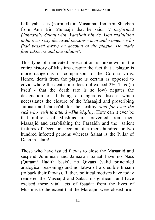Kifaayah as is (narrated) in Musannaf Ibn Abi Shaybah from Amr Bin Muhaajir that he said: *"I performed (Janaazah) Salaat with Waasilah Bin As Asqa radiallahu anhu over sixty deceased persons - men and women - who (had passed away) on account of the plague. He made four takbeers and one salaam".* 

This type of innovated proscription is unknown in the entire history of Muslims despite the fact that a plague is more dangerous in comparison to the Corona virus. Hence, death from the plague is certain as opposed to covid where the death rate does not exceed 2%. This (in itself - that the death rate is so low) negates the designation of it being a dangerous disease which necessitates the closure of the Masaajid and proscribing Jumuah and Jamaa'ah for the healthy *(and for even the sick who wish to attend –The Majlis)*. How can it ever be that millions of Muslims are prevented from their Masaajid and establishing the Faraaidh and the salient features of Deen on account of a mere hundred or two hundred infected persons whereas Salaat is the Pillar of Deen in Islam!

Those who have issued fatwas to close the Masaajid and suspend Jummuah and Jamaa'ah Salaat have no Nass (Quraan/ Hadith basis), no Qiyaas (valid principled analogical reasoning) and no fatwa of a credible Imaam (to back their fatwas). Rather, political motives have today rendered the Masaajid and Salaat insignificant and have excised these vital acts of ibaadat from the lives of Muslims to the extent that the Masaajid were closed prior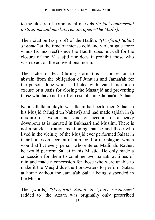to the closure of commercial markets *(in fact commercial institutions and markets remain open –The Majlis).* 

Their citation (as proof) of the Hadith: *"(Perform) Salaat at home"* at the time of intense cold and violent gale force winds (is incorrect) since the Hadith does not call for the closure of the Masaajid nor does it prohibit those who wish to act on the conventional norm.

The factor of fear (during storms) is a concession to abstain from the obligation of Jumuah and Jamaa'ah for the person alone who is afflicted with fear. It is not an excuse or a basis for closing the Masaajid and preventing those who have no fear from establishing Jamaa'ah Salaat.

Nabi sallallahu alayhi wasallaam had performed Salaat in his Musjid (Musjid un Nabawi) and had made sajdah in (a mixture of) water and sand on account of a heavy downpour as is narrated in Bukhaari and Muslim. There is not a single narration mentioning that he and those who lived in the vicinity of the Musjid ever performed Salaat in their homes on account of rain, cold or the plague which would afflict every person who entered Madinah. Rather, he would perform Salaat in his Musjid. He only made a concession for them to combine two Salaats at times of rain and made a concession for those who were unable to make it the Musjid due the floodwaters to perform Salaat at home without the Jamaa'ah Salaat being suspended in the Musjid.

The (words) *"(Perform) Salaat in (your) residences"* (added to) the Azaan was originally only prescribed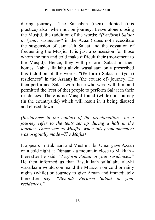during journeys. The Sahaabah (then) adopted (this practice) also when not on journey. Leave alone closing the Musjid, the (addition of the words: *"(Perform) Salaat in (your) residences"* in the Azaan) does not necessitate the suspension of Jamaa'ah Salaat and the cessation of frequenting the Musjid. It is just a concession for those whom the rain and cold make difficult their (movement to the Musjid). Hence, they will perform Salaat in their homes. Nabi sallallahu alayhi wasallaam only prescribed this (addition of the words: "(Perform) Salaat in (your) residences" in the Azaan) in (the course of) journey. He then performed Salaat with those who were with him and permitted the (rest of the) people to perform Salaat in their residences. There is no Musjid found (while) on journey (in the countryside) which will result in it being disused and closed down.

*(Residences in the context of the proclamation on a journey refer to the tents set up during a halt in the journey. There was no Musjid when this pronouncement was originally made –The Majlis)* 

It appears in Bukhaari and Muslim: Ibn Umar gave Azaan on a cold night at Dijnaan - a mountain close to Makkah thereafter he said: *"Perform Salaat in your residences."* He then informed us that Rasulullaah sallallahu alayhi wasallaam would command the Muazzin on cold or rainy nights (while) on journey to give Azaan and immediately thereafter say: *"Behold! Perform Salaat in your residences."*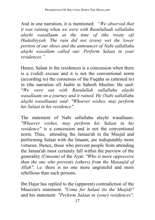And in one narration, it is mentioned: *"We observed that it was raining when we were with Rasulullaah sallallahu alayhi wasallaam at the time of (the treaty of) Hudaibiyyah. The rain did not (even) wet the lower portion of our shoes and the announcer of Nabi sallallahu alayhi wasallam called out: Perform Salaat in your residences."*

Hence, Salaat in the residences is a concession when there is a (valid) excuse and it is not the conventional norm (according to) the consensus of the Fuqaha as (attested to) in (the narration of) Jaabir in Saheeh Muslim: He said: "*We were out with Rasulullah sallallahu alayhi wasallaam on a journey and it rained. He (Nabi sallallahu alayhi wasallaam) said: "Whoever wishes, may perform his Salaat in his residence".* 

The statement of Nabi sallallahu alayhi wasallaam: *"Whoever wishes, may perform his Salaat in his residence"* is a concession and is not the conventional norm. Thus, attending the Jamaa'ah in the Musjid and performing Salaat with the Imaam, are indisputably more virtuous. Hence, those who prevent people from attending the Jamaa'ah most certainly fall within the purview of the generality *(Umoom)* of the Ayat: *"Who is more oppressive than the one who prevents (others) from the Masaajid of Allah",* i.e. there is no one more ungrateful and more rebellious than such persons.

Ibn Hajar has replied to the (apparent) contradiction of the Muazzin's statement: *"Come for Salaat (to the Musjid)"*  and his statement: *"Perform Salaat in (your) residences"*.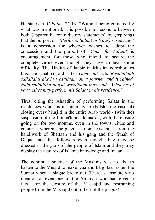He states in *Al Fath* - 2/113- "Without being cornered by what was mentioned, it is possible to reconcile between both (apparently contradictory statements) by (replying) that the purport of *"(Perform) Salaat in (your) residences"*  is a concession for whoever wishes to adopt the concession and the purport of *"Come for Salaat"* is encouragement for those who intend to secure the complete virtue even though they have to bear some difficulty. The Hadith of Jaabir in Muslim corroborates this. He (Jaabir) said: *"We came out with Rasulullaah sallallahu alayhi wasallaam on a journey and it rained. Nabi sallallahu alayhi wasallaam thus said: 'Whoever of you wishes may perform his Salaat in his residence."*

Thus, citing the Ahaadith of performing Salaat in the residences which is an anomaly to (bolster the case of) closing every Musjid in the entire Arab world - (with the) suspension of the Jumua'h and Jamaa'ah, with the closure going on for two months, even in the towns, cities and countries wherein the plague is non- existent, is from the handiwork of Shaitaan and his gang and the fitnah of Dajjaal and his followers even though they may be dressed in the garb of the people of Islam and they may display the features of Islamic knowledge and Imaan.

The continual practice of the Muslims was to always hasten to the Musjid to make Dua and Istighfaar as per the Sunnat when a plague broke out. There is absolutely no mention of even one of the Aimmah who had given a fatwa for the closure of the Masaajid and restraining people from the Masaajid out of fear of the plague!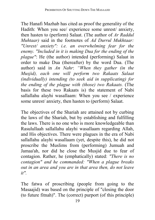The Hanafi Mazhab has cited as proof the generality of the Hadith: When you see/ experience some unrest/ anxiety, then hasten to (perform) Salaat. (The author of *Ar Raddul Muhtaar)* said in the footnotes of *Ad Durrul Mukhtaar: "Unrest/ anxiety": i.e. an overwhelming fear for the enemy. "Included in it is making Dua for the ending of the plague"*: He (the author) intended (performing) Salaat in order to make Dua (thereafter) by the word Dua. (The author) said in *An Nahr*: *"When they gather (in the Musjid), each one will perform two Rakaats Salaat (individually) intending (to seek aid in supplicating) for the ending of the plague with (those) two Rakaats.* (The basis for these two Rakaats is) the statement of Nabi sallallahu alayhi wasallaam: When you see / experience some unrest/ anxiety, then hasten to (perform) Salaat.

The objectives of the Shariah are attained not by curbing the laws of the Shariah, but by establishing and fulfilling the laws. There is no one who is more knowledgeable than Rasulullaah sallallahu alayhi wasallaam regarding Allah, and His objectives. There were plagues in the era of Nabi sallallahu alayhi wasallaam (yet, despite this), he did not proscribe the Muslims from (performing) Jumuah and Jamaa'ah, nor did he close the Musjid due to fear of contagion. Rather, he (emphatically) stated: *"There is no contagion" and he commanded: "When a plague breaks out in an area and you are in that area then, do not leave it".* 

The fatwa of proscribing (people from going to the Masaajid) was based on the principle of "closing the door (to future fitnah)". The (correct) purport (of this principle)